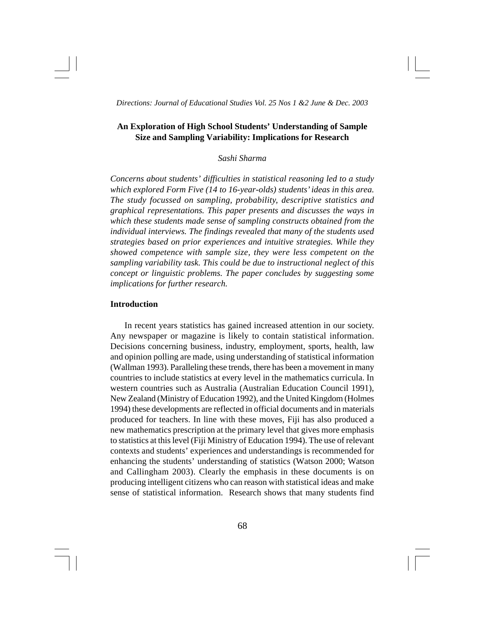# **An Exploration of High School Students' Understanding of Sample Size and Sampling Variability: Implications for Research**

# *Sashi Sharma*

*Concerns about students' difficulties in statistical reasoning led to a study which explored Form Five (14 to 16-year-olds) students' ideas in this area. The study focussed on sampling, probability, descriptive statistics and graphical representations. This paper presents and discusses the ways in which these students made sense of sampling constructs obtained from the individual interviews. The findings revealed that many of the students used strategies based on prior experiences and intuitive strategies. While they showed competence with sample size, they were less competent on the sampling variability task. This could be due to instructional neglect of this concept or linguistic problems. The paper concludes by suggesting some implications for further research.*

# **Introduction**

In recent years statistics has gained increased attention in our society. Any newspaper or magazine is likely to contain statistical information. Decisions concerning business, industry, employment, sports, health, law and opinion polling are made, using understanding of statistical information (Wallman 1993). Paralleling these trends, there has been a movement in many countries to include statistics at every level in the mathematics curricula. In western countries such as Australia (Australian Education Council 1991), New Zealand (Ministry of Education 1992), and the United Kingdom (Holmes 1994) these developments are reflected in official documents and in materials produced for teachers. In line with these moves, Fiji has also produced a new mathematics prescription at the primary level that gives more emphasis to statistics at this level (Fiji Ministry of Education 1994). The use of relevant contexts and students' experiences and understandings is recommended for enhancing the students' understanding of statistics (Watson 2000; Watson and Callingham 2003). Clearly the emphasis in these documents is on producing intelligent citizens who can reason with statistical ideas and make sense of statistical information. Research shows that many students find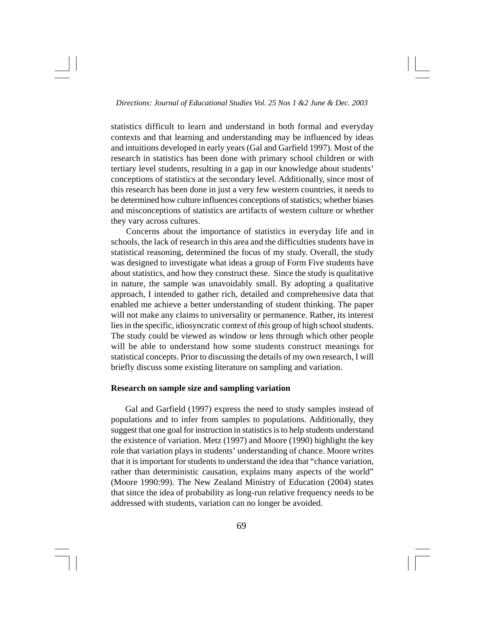statistics difficult to learn and understand in both formal and everyday contexts and that learning and understanding may be influenced by ideas and intuitions developed in early years (Gal and Garfield 1997). Most of the research in statistics has been done with primary school children or with tertiary level students, resulting in a gap in our knowledge about students' conceptions of statistics at the secondary level. Additionally, since most of this research has been done in just a very few western countries, it needs to be determined how culture influences conceptions of statistics; whether biases and misconceptions of statistics are artifacts of western culture or whether they vary across cultures.

Concerns about the importance of statistics in everyday life and in schools, the lack of research in this area and the difficulties students have in statistical reasoning, determined the focus of my study. Overall, the study was designed to investigate what ideas a group of Form Five students have about statistics, and how they construct these. Since the study is qualitative in nature, the sample was unavoidably small. By adopting a qualitative approach, I intended to gather rich, detailed and comprehensive data that enabled me achieve a better understanding of student thinking. The paper will not make any claims to universality or permanence. Rather, its interest lies in the specific, idiosyncratic context of *this* group of high school students. The study could be viewed as window or lens through which other people will be able to understand how some students construct meanings for statistical concepts. Prior to discussing the details of my own research, I will briefly discuss some existing literature on sampling and variation.

## **Research on sample size and sampling variation**

Gal and Garfield (1997) express the need to study samples instead of populations and to infer from samples to populations. Additionally, they suggest that one goal for instruction in statistics is to help students understand the existence of variation. Metz (1997) and Moore (1990) highlight the key role that variation plays in students' understanding of chance. Moore writes that it is important for students to understand the idea that "chance variation, rather than deterministic causation, explains many aspects of the world" (Moore 1990:99). The New Zealand Ministry of Education (2004) states that since the idea of probability as long-run relative frequency needs to be addressed with students, variation can no longer be avoided.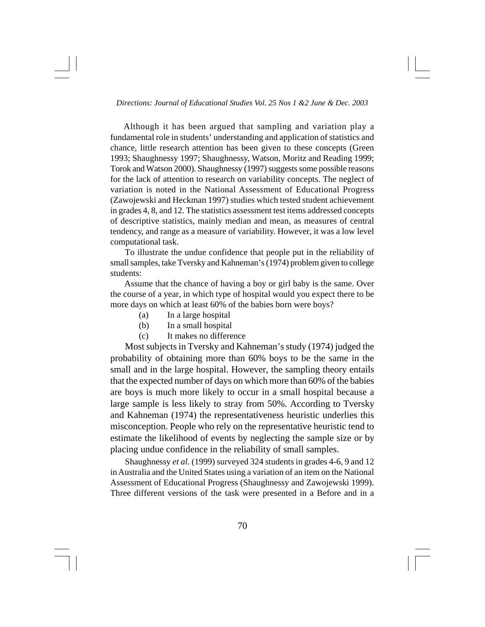Although it has been argued that sampling and variation play a fundamental role in students' understanding and application of statistics and chance, little research attention has been given to these concepts (Green 1993; Shaughnessy 1997; Shaughnessy, Watson, Moritz and Reading 1999; Torok and Watson 2000). Shaughnessy (1997) suggests some possible reasons for the lack of attention to research on variability concepts. The neglect of variation is noted in the National Assessment of Educational Progress (Zawojewski and Heckman 1997) studies which tested student achievement in grades 4, 8, and 12. The statistics assessment test items addressed concepts of descriptive statistics, mainly median and mean, as measures of central tendency, and range as a measure of variability. However, it was a low level computational task.

To illustrate the undue confidence that people put in the reliability of small samples, take Tversky and Kahneman's (1974) problem given to college students:

Assume that the chance of having a boy or girl baby is the same. Over the course of a year, in which type of hospital would you expect there to be more days on which at least 60% of the babies born were boys?

- (a) In a large hospital
- (b) In a small hospital
- (c) It makes no difference

Most subjects in Tversky and Kahneman's study (1974) judged the probability of obtaining more than 60% boys to be the same in the small and in the large hospital. However, the sampling theory entails that the expected number of days on which more than 60% of the babies are boys is much more likely to occur in a small hospital because a large sample is less likely to stray from 50%. According to Tversky and Kahneman (1974) the representativeness heuristic underlies this misconception. People who rely on the representative heuristic tend to estimate the likelihood of events by neglecting the sample size or by placing undue confidence in the reliability of small samples.

Shaughnessy *et al.* (1999) surveyed 324 students in grades 4-6, 9 and 12 in Australia and the United States using a variation of an item on the National Assessment of Educational Progress (Shaughnessy and Zawojewski 1999). Three different versions of the task were presented in a Before and in a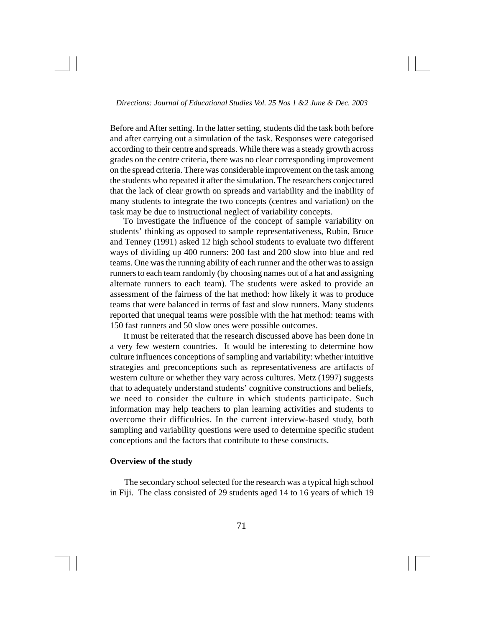Before and After setting. In the latter setting, students did the task both before and after carrying out a simulation of the task. Responses were categorised according to their centre and spreads. While there was a steady growth across grades on the centre criteria, there was no clear corresponding improvement on the spread criteria. There was considerable improvement on the task among the students who repeated it after the simulation. The researchers conjectured that the lack of clear growth on spreads and variability and the inability of many students to integrate the two concepts (centres and variation) on the task may be due to instructional neglect of variability concepts.

To investigate the influence of the concept of sample variability on students' thinking as opposed to sample representativeness, Rubin, Bruce and Tenney (1991) asked 12 high school students to evaluate two different ways of dividing up 400 runners: 200 fast and 200 slow into blue and red teams. One was the running ability of each runner and the other was to assign runners to each team randomly (by choosing names out of a hat and assigning alternate runners to each team). The students were asked to provide an assessment of the fairness of the hat method: how likely it was to produce teams that were balanced in terms of fast and slow runners. Many students reported that unequal teams were possible with the hat method: teams with 150 fast runners and 50 slow ones were possible outcomes.

It must be reiterated that the research discussed above has been done in a very few western countries. It would be interesting to determine how culture influences conceptions of sampling and variability: whether intuitive strategies and preconceptions such as representativeness are artifacts of western culture or whether they vary across cultures. Metz (1997) suggests that to adequately understand students' cognitive constructions and beliefs, we need to consider the culture in which students participate. Such information may help teachers to plan learning activities and students to overcome their difficulties. In the current interview-based study, both sampling and variability questions were used to determine specific student conceptions and the factors that contribute to these constructs.

# **Overview of the study**

The secondary school selected for the research was a typical high school in Fiji. The class consisted of 29 students aged 14 to 16 years of which 19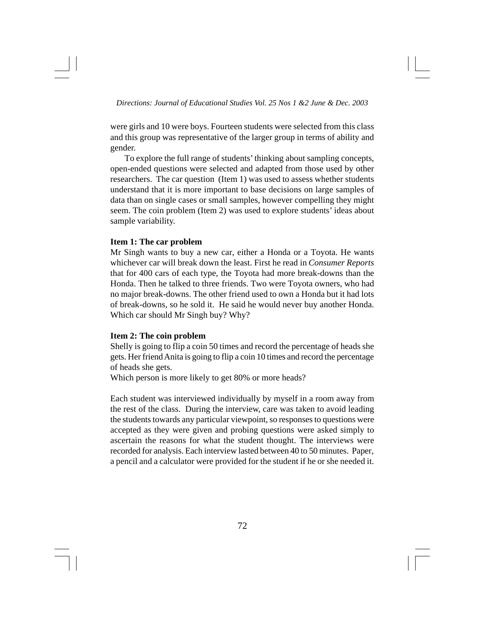were girls and 10 were boys. Fourteen students were selected from this class and this group was representative of the larger group in terms of ability and gender.

To explore the full range of students' thinking about sampling concepts, open-ended questions were selected and adapted from those used by other researchers. The car question (Item 1) was used to assess whether students understand that it is more important to base decisions on large samples of data than on single cases or small samples, however compelling they might seem. The coin problem (Item 2) was used to explore students' ideas about sample variability.

### **Item 1: The car problem**

Mr Singh wants to buy a new car, either a Honda or a Toyota. He wants whichever car will break down the least. First he read in *Consumer Reports* that for 400 cars of each type, the Toyota had more break-downs than the Honda. Then he talked to three friends. Two were Toyota owners, who had no major break-downs. The other friend used to own a Honda but it had lots of break-downs, so he sold it. He said he would never buy another Honda. Which car should Mr Singh buy? Why?

# **Item 2: The coin problem**

Shelly is going to flip a coin 50 times and record the percentage of heads she gets. Her friend Anita is going to flip a coin 10 times and record the percentage of heads she gets.

Which person is more likely to get 80% or more heads?

Each student was interviewed individually by myself in a room away from the rest of the class. During the interview, care was taken to avoid leading the students towards any particular viewpoint, so responses to questions were accepted as they were given and probing questions were asked simply to ascertain the reasons for what the student thought. The interviews were recorded for analysis. Each interview lasted between 40 to 50 minutes. Paper, a pencil and a calculator were provided for the student if he or she needed it.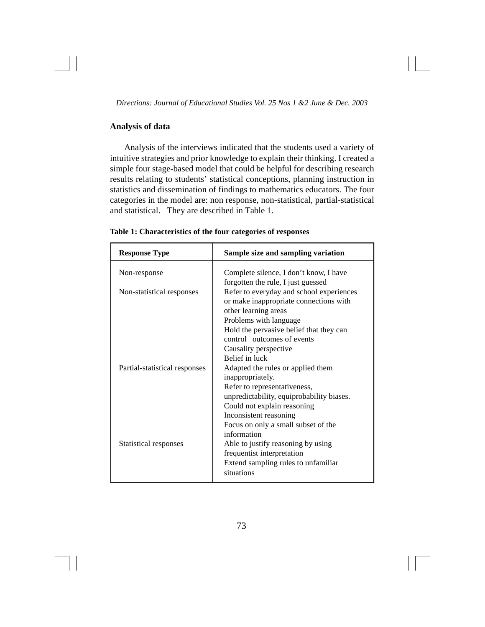# **Analysis of data**

Analysis of the interviews indicated that the students used a variety of intuitive strategies and prior knowledge to explain their thinking. I created a simple four stage-based model that could be helpful for describing research results relating to students' statistical conceptions, planning instruction in statistics and dissemination of findings to mathematics educators. The four categories in the model are: non response, non-statistical, partial-statistical and statistical. They are described in Table 1.

| <b>Response Type</b>          | Sample size and sampling variation                                                                                                                                                                                                                   |
|-------------------------------|------------------------------------------------------------------------------------------------------------------------------------------------------------------------------------------------------------------------------------------------------|
| Non-response                  | Complete silence, I don't know, I have<br>forgotten the rule, I just guessed                                                                                                                                                                         |
| Non-statistical responses     | Refer to everyday and school experiences<br>or make inappropriate connections with<br>other learning areas<br>Problems with language<br>Hold the pervasive belief that they can<br>control outcomes of events<br>Causality perspective               |
| Partial-statistical responses | Belief in luck<br>Adapted the rules or applied them<br>inappropriately.<br>Refer to representativeness,<br>unpredictability, equiprobability biases.<br>Could not explain reasoning<br>Inconsistent reasoning<br>Focus on only a small subset of the |
| Statistical responses         | information<br>Able to justify reasoning by using<br>frequentist interpretation<br>Extend sampling rules to unfamiliar<br>situations                                                                                                                 |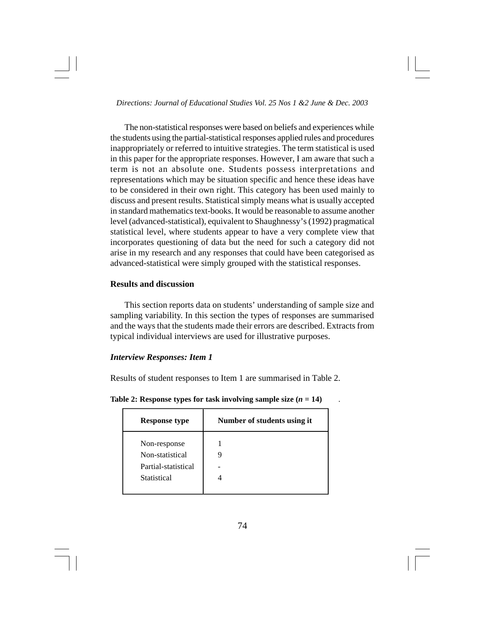The non-statistical responses were based on beliefs and experiences while the students using the partial-statistical responses applied rules and procedures inappropriately or referred to intuitive strategies. The term statistical is used in this paper for the appropriate responses. However, I am aware that such a term is not an absolute one. Students possess interpretations and representations which may be situation specific and hence these ideas have to be considered in their own right. This category has been used mainly to discuss and present results. Statistical simply means what is usually accepted in standard mathematics text-books. It would be reasonable to assume another level (advanced-statistical), equivalent to Shaughnessy's (1992) pragmatical statistical level, where students appear to have a very complete view that incorporates questioning of data but the need for such a category did not arise in my research and any responses that could have been categorised as advanced-statistical were simply grouped with the statistical responses.

# **Results and discussion**

This section reports data on students' understanding of sample size and sampling variability. In this section the types of responses are summarised and the ways that the students made their errors are described. Extracts from typical individual interviews are used for illustrative purposes.

# *Interview Responses: Item 1*

Results of student responses to Item 1 are summarised in Table 2.

| <b>Response type</b>                                                  | Number of students using it |
|-----------------------------------------------------------------------|-----------------------------|
| Non-response<br>Non-statistical<br>Partial-statistical<br>Statistical |                             |

**Table 2: Response types for task involving sample size**  $(n = 14)$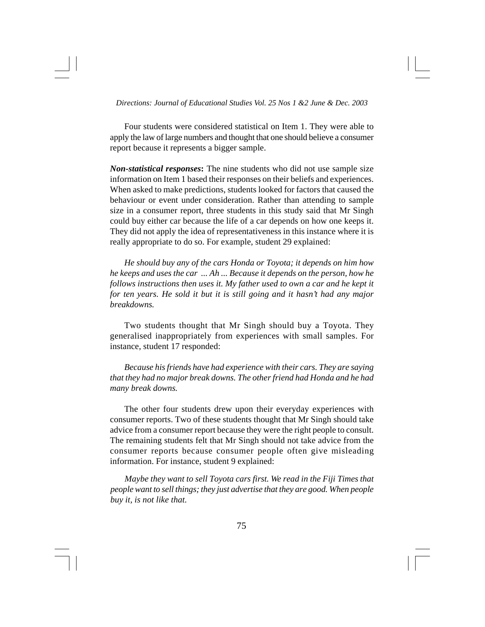Four students were considered statistical on Item 1. They were able to apply the law of large numbers and thought that one should believe a consumer report because it represents a bigger sample.

*Non-statistical responses***:** The nine students who did not use sample size information on Item 1 based their responses on their beliefs and experiences. When asked to make predictions, students looked for factors that caused the behaviour or event under consideration. Rather than attending to sample size in a consumer report, three students in this study said that Mr Singh could buy either car because the life of a car depends on how one keeps it. They did not apply the idea of representativeness in this instance where it is really appropriate to do so. For example, student 29 explained:

*He should buy any of the cars Honda or Toyota; it depends on him how he keeps and uses the car ... Ah ... Because it depends on the person, how he follows instructions then uses it. My father used to own a car and he kept it for ten years. He sold it but it is still going and it hasn't had any major breakdowns.*

Two students thought that Mr Singh should buy a Toyota. They generalised inappropriately from experiences with small samples. For instance, student 17 responded:

*Because his friends have had experience with their cars. They are saying that they had no major break downs. The other friend had Honda and he had many break downs.*

The other four students drew upon their everyday experiences with consumer reports. Two of these students thought that Mr Singh should take advice from a consumer report because they were the right people to consult. The remaining students felt that Mr Singh should not take advice from the consumer reports because consumer people often give misleading information. For instance, student 9 explained:

*Maybe they want to sell Toyota cars first. We read in the Fiji Times that people want to sell things; they just advertise that they are good. When people buy it, is not like that.*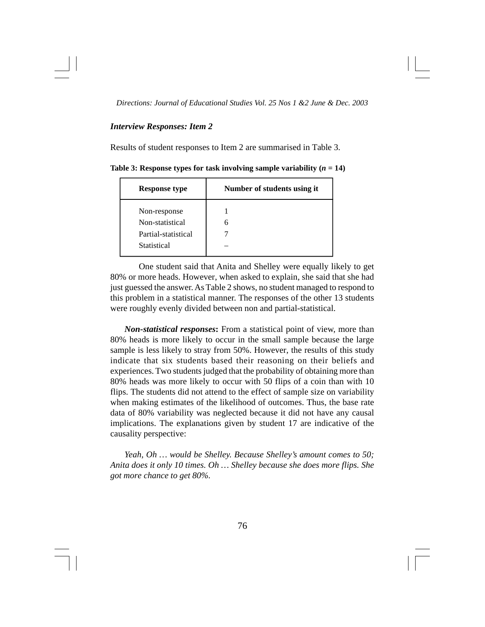### *Interview Responses: Item 2*

Results of student responses to Item 2 are summarised in Table 3.

| <b>Response type</b> | Number of students using it |
|----------------------|-----------------------------|
| Non-response         |                             |
| Non-statistical      |                             |
| Partial-statistical  |                             |
| Statistical          |                             |

**Table 3: Response types for task involving sample variability**  $(n = 14)$ 

One student said that Anita and Shelley were equally likely to get 80% or more heads. However, when asked to explain, she said that she had just guessed the answer. As Table 2 shows, no student managed to respond to this problem in a statistical manner. The responses of the other 13 students were roughly evenly divided between non and partial-statistical.

*Non-statistical responses***:** From a statistical point of view, more than 80% heads is more likely to occur in the small sample because the large sample is less likely to stray from 50%. However, the results of this study indicate that six students based their reasoning on their beliefs and experiences. Two students judged that the probability of obtaining more than 80% heads was more likely to occur with 50 flips of a coin than with 10 flips. The students did not attend to the effect of sample size on variability when making estimates of the likelihood of outcomes. Thus, the base rate data of 80% variability was neglected because it did not have any causal implications. The explanations given by student 17 are indicative of the causality perspective:

*Yeah, Oh … would be Shelley. Because Shelley's amount comes to 50; Anita does it only 10 times. Oh … Shelley because she does more flips. She got more chance to get 80%.*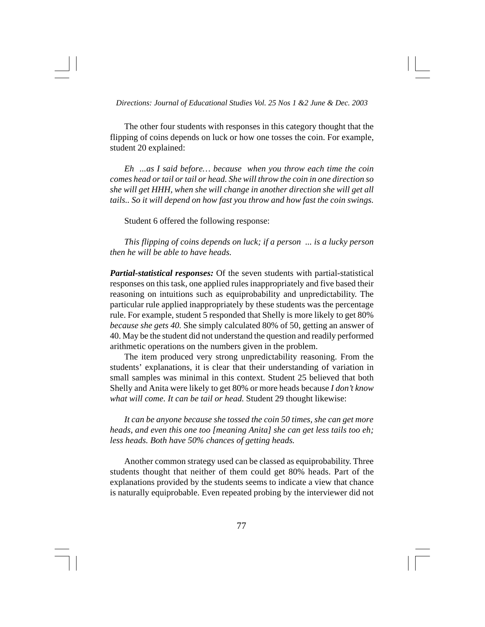The other four students with responses in this category thought that the flipping of coins depends on luck or how one tosses the coin. For example, student 20 explained:

*Eh ...as I said before… because when you throw each time the coin comes head or tail or tail or head. She will throw the coin in one direction so she will get HHH, when she will change in another direction she will get all tails.. So it will depend on how fast you throw and how fast the coin swings.*

Student 6 offered the following response:

*This flipping of coins depends on luck; if a person ... is a lucky person then he will be able to have heads.*

*Partial-statistical responses:* Of the seven students with partial-statistical responses on this task, one applied rules inappropriately and five based their reasoning on intuitions such as equiprobability and unpredictability. The particular rule applied inappropriately by these students was the percentage rule. For example, student 5 responded that Shelly is more likely to get 80% *because she gets 40.* She simply calculated 80% of 50, getting an answer of 40. May be the student did not understand the question and readily performed arithmetic operations on the numbers given in the problem.

The item produced very strong unpredictability reasoning. From the students' explanations, it is clear that their understanding of variation in small samples was minimal in this context. Student 25 believed that both Shelly and Anita were likely to get 80% or more heads because *I don't know what will come. It can be tail or head.* Student 29 thought likewise:

*It can be anyone because she tossed the coin 50 times, she can get more heads, and even this one too [meaning Anita] she can get less tails too eh; less heads. Both have 50% chances of getting heads.*

Another common strategy used can be classed as equiprobability. Three students thought that neither of them could get 80% heads. Part of the explanations provided by the students seems to indicate a view that chance is naturally equiprobable. Even repeated probing by the interviewer did not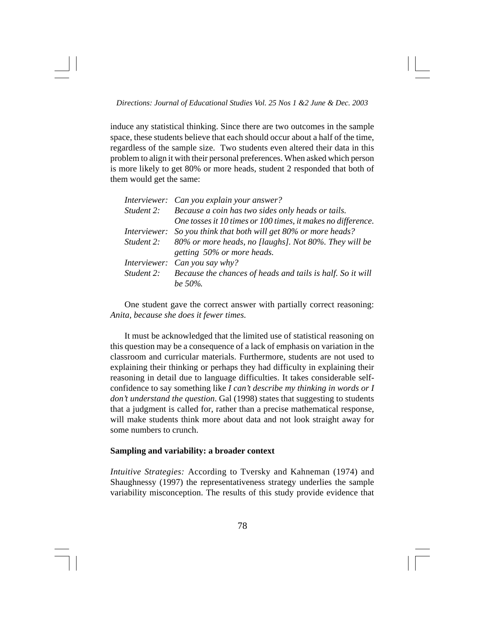induce any statistical thinking. Since there are two outcomes in the sample space, these students believe that each should occur about a half of the time, regardless of the sample size. Two students even altered their data in this problem to align it with their personal preferences. When asked which person is more likely to get 80% or more heads, student 2 responded that both of them would get the same:

|                     | Interviewer: Can you explain your answer?                    |
|---------------------|--------------------------------------------------------------|
|                     | Student 2: Because a coin has two sides only heads or tails. |
|                     | One tosses it 10 times or 100 times, it makes no difference. |
| <i>Interviewer:</i> | So you think that both will get 80% or more heads?           |
| Student 2:          | 80% or more heads, no [laughs]. Not 80%. They will be        |
|                     | getting 50% or more heads.                                   |
|                     | Interviewer: Can you say why?                                |
| Student 2:          | Because the chances of heads and tails is half. So it will   |
|                     | be $50\%$ .                                                  |

One student gave the correct answer with partially correct reasoning: *Anita, because she does it fewer times.*

It must be acknowledged that the limited use of statistical reasoning on this question may be a consequence of a lack of emphasis on variation in the classroom and curricular materials. Furthermore, students are not used to explaining their thinking or perhaps they had difficulty in explaining their reasoning in detail due to language difficulties. It takes considerable selfconfidence to say something like *I can't describe my thinking in words or I don't understand the question.* Gal (1998) states that suggesting to students that a judgment is called for, rather than a precise mathematical response, will make students think more about data and not look straight away for some numbers to crunch.

# **Sampling and variability: a broader context**

*Intuitive Strategies:* According to Tversky and Kahneman (1974) and Shaughnessy (1997) the representativeness strategy underlies the sample variability misconception. The results of this study provide evidence that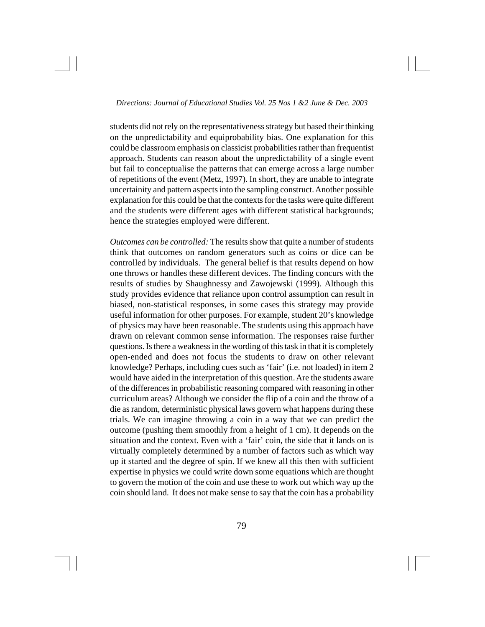students did not rely on the representativeness strategy but based their thinking on the unpredictability and equiprobability bias. One explanation for this could be classroom emphasis on classicist probabilities rather than frequentist approach. Students can reason about the unpredictability of a single event but fail to conceptualise the patterns that can emerge across a large number of repetitions of the event (Metz, 1997). In short, they are unable to integrate uncertainity and pattern aspects into the sampling construct. Another possible explanation for this could be that the contexts for the tasks were quite different and the students were different ages with different statistical backgrounds; hence the strategies employed were different.

*Outcomes can be controlled:* The results show that quite a number of students think that outcomes on random generators such as coins or dice can be controlled by individuals. The general belief is that results depend on how one throws or handles these different devices. The finding concurs with the results of studies by Shaughnessy and Zawojewski (1999). Although this study provides evidence that reliance upon control assumption can result in biased, non-statistical responses, in some cases this strategy may provide useful information for other purposes. For example, student 20's knowledge of physics may have been reasonable. The students using this approach have drawn on relevant common sense information. The responses raise further questions. Is there a weakness in the wording of this task in that it is completely open-ended and does not focus the students to draw on other relevant knowledge? Perhaps, including cues such as 'fair' (i.e. not loaded) in item 2 would have aided in the interpretation of this question. Are the students aware of the differences in probabilistic reasoning compared with reasoning in other curriculum areas? Although we consider the flip of a coin and the throw of a die as random, deterministic physical laws govern what happens during these trials. We can imagine throwing a coin in a way that we can predict the outcome (pushing them smoothly from a height of 1 cm). It depends on the situation and the context. Even with a 'fair' coin, the side that it lands on is virtually completely determined by a number of factors such as which way up it started and the degree of spin. If we knew all this then with sufficient expertise in physics we could write down some equations which are thought to govern the motion of the coin and use these to work out which way up the coin should land. It does not make sense to say that the coin has a probability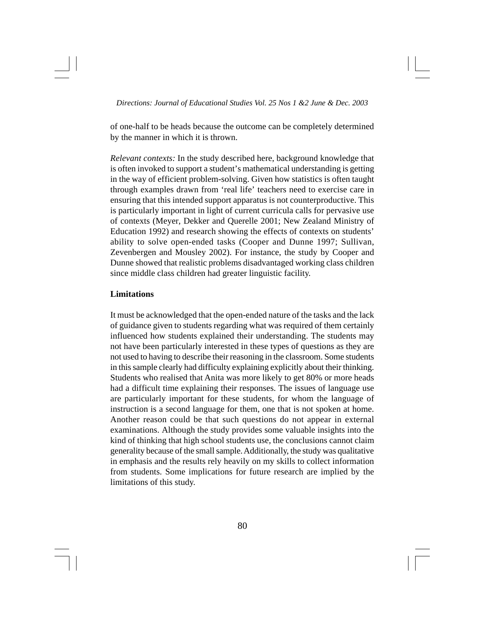of one-half to be heads because the outcome can be completely determined by the manner in which it is thrown.

*Relevant contexts:* In the study described here, background knowledge that is often invoked to support a student's mathematical understanding is getting in the way of efficient problem-solving. Given how statistics is often taught through examples drawn from 'real life' teachers need to exercise care in ensuring that this intended support apparatus is not counterproductive. This is particularly important in light of current curricula calls for pervasive use of contexts (Meyer, Dekker and Querelle 2001; New Zealand Ministry of Education 1992) and research showing the effects of contexts on students' ability to solve open-ended tasks (Cooper and Dunne 1997; Sullivan, Zevenbergen and Mousley 2002). For instance, the study by Cooper and Dunne showed that realistic problems disadvantaged working class children since middle class children had greater linguistic facility.

# **Limitations**

It must be acknowledged that the open-ended nature of the tasks and the lack of guidance given to students regarding what was required of them certainly influenced how students explained their understanding. The students may not have been particularly interested in these types of questions as they are not used to having to describe their reasoning in the classroom. Some students in this sample clearly had difficulty explaining explicitly about their thinking. Students who realised that Anita was more likely to get 80% or more heads had a difficult time explaining their responses. The issues of language use are particularly important for these students, for whom the language of instruction is a second language for them, one that is not spoken at home. Another reason could be that such questions do not appear in external examinations. Although the study provides some valuable insights into the kind of thinking that high school students use, the conclusions cannot claim generality because of the small sample. Additionally, the study was qualitative in emphasis and the results rely heavily on my skills to collect information from students. Some implications for future research are implied by the limitations of this study.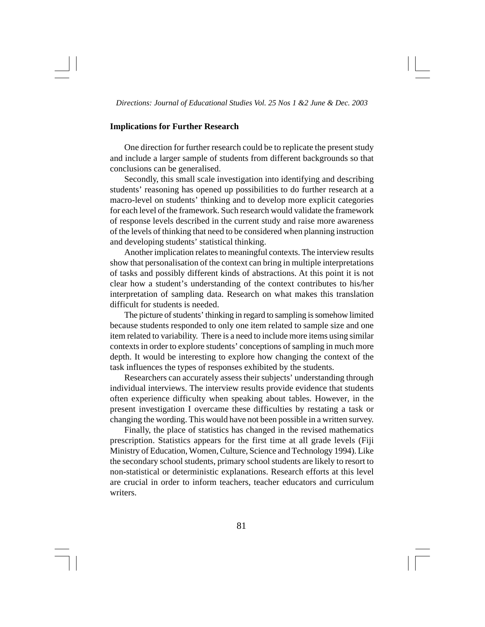# **Implications for Further Research**

One direction for further research could be to replicate the present study and include a larger sample of students from different backgrounds so that conclusions can be generalised.

Secondly, this small scale investigation into identifying and describing students' reasoning has opened up possibilities to do further research at a macro-level on students' thinking and to develop more explicit categories for each level of the framework. Such research would validate the framework of response levels described in the current study and raise more awareness of the levels of thinking that need to be considered when planning instruction and developing students' statistical thinking.

Another implication relates to meaningful contexts. The interview results show that personalisation of the context can bring in multiple interpretations of tasks and possibly different kinds of abstractions. At this point it is not clear how a student's understanding of the context contributes to his/her interpretation of sampling data. Research on what makes this translation difficult for students is needed.

The picture of students' thinking in regard to sampling is somehow limited because students responded to only one item related to sample size and one item related to variability. There is a need to include more items using similar contexts in order to explore students' conceptions of sampling in much more depth. It would be interesting to explore how changing the context of the task influences the types of responses exhibited by the students.

Researchers can accurately assess their subjects' understanding through individual interviews. The interview results provide evidence that students often experience difficulty when speaking about tables. However, in the present investigation I overcame these difficulties by restating a task or changing the wording. This would have not been possible in a written survey.

Finally, the place of statistics has changed in the revised mathematics prescription. Statistics appears for the first time at all grade levels (Fiji Ministry of Education, Women, Culture, Science and Technology 1994). Like the secondary school students, primary school students are likely to resort to non-statistical or deterministic explanations. Research efforts at this level are crucial in order to inform teachers, teacher educators and curriculum writers.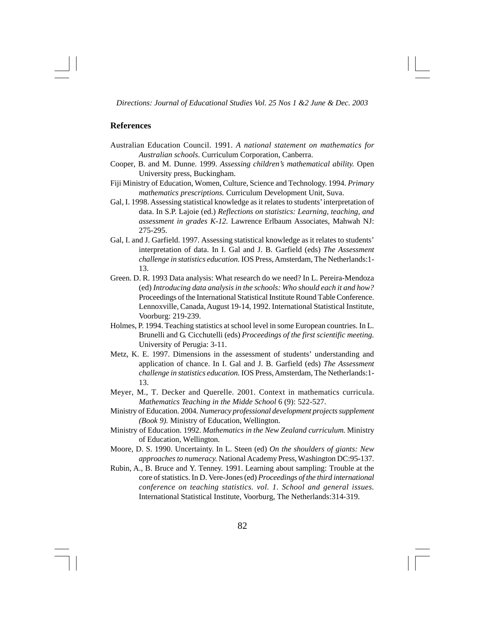# **References**

- Australian Education Council. 1991. *A national statement on mathematics for Australian schools*. Curriculum Corporation, Canberra.
- Cooper, B. and M. Dunne. 1999. *Assessing children's mathematical ability.* Open University press, Buckingham.
- Fiji Ministry of Education, Women, Culture, Science and Technology. 1994. *Primary mathematics prescriptions.* Curriculum Development Unit, Suva.
- Gal, I. 1998. Assessing statistical knowledge as it relates to students' interpretation of data. In S.P. Lajoie (ed.) *Reflections on statistics: Learning, teaching, and assessment in grades K-12.* Lawrence Erlbaum Associates, Mahwah NJ: 275-295.
- Gal, I. and J. Garfield. 1997. Assessing statistical knowledge as it relates to students' interpretation of data. In I. Gal and J. B. Garfield (eds) *The Assessment challenge in statistics education.* IOS Press, Amsterdam, The Netherlands:1- 13.
- Green. D. R. 1993 Data analysis: What research do we need? In L. Pereira-Mendoza (ed) *Introducing data analysis in the schools: Who should each it and how?* Proceedings of the International Statistical Institute Round Table Conference. Lennoxville, Canada, August 19-14, 1992. International Statistical Institute, Voorburg: 219-239.
- Holmes, P. 1994. Teaching statistics at school level in some European countries. In L. Brunelli and G. Cicchutelli (eds) *Proceedings of the first scientific meeting.* University of Perugia: 3-11.
- Metz, K. E. 1997. Dimensions in the assessment of students' understanding and application of chance. In I. Gal and J. B. Garfield (eds) *The Assessment challenge in statistics education.* IOS Press, Amsterdam, The Netherlands:1- 13.
- Meyer, M., T. Decker and Querelle. 2001. Context in mathematics curricula. *Mathematics Teaching in the Midde School* 6 (9): 522-527.
- Ministry of Education. 2004. *Numeracy professional development projects supplement (Book 9).* Ministry of Education, Wellington.
- Ministry of Education. 1992. *Mathematics in the New Zealand curriculum.* Ministry of Education, Wellington.
- Moore, D. S. 1990. Uncertainty. In L. Steen (ed) *On the shoulders of giants: New approaches to numeracy.* National Academy Press, Washington DC:95-137.
- Rubin, A., B. Bruce and Y. Tenney. 1991. Learning about sampling: Trouble at the core of statistics. In D. Vere-Jones (ed) *Proceedings of the third international conference on teaching statistics. vol. 1. School and general issues.* International Statistical Institute, Voorburg, The Netherlands:314-319.